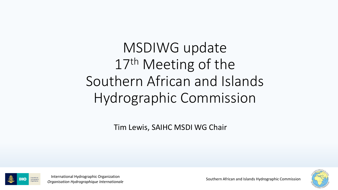MSDIWG update 17th Meeting of the Southern African and Islands Hydrographic Commission

Tim Lewis, SAIHC MSDI WG Chair





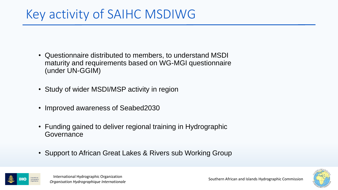## Key activity of SAIHC MSDIWG

- Questionnaire distributed to members, to understand MSDI maturity and requirements based on WG-MGI questionnaire (under UN-GGIM)
- Study of wider MSDI/MSP activity in region
- Improved awareness of Seabed2030
- Funding gained to deliver regional training in Hydrographic **Governance**
- Support to African Great Lakes & Rivers sub Working Group



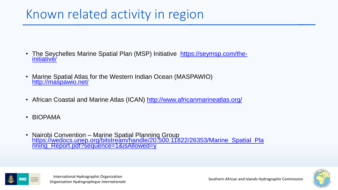## Known related activity in region

- [The Seychelles Marine Spatial Plan \(MSP\) Initiative https://seymsp.com/the](https://seymsp.com/the-initiative/)initiative/
- Marine Spatial Atlas for the Western Indian Ocean (MASPAWIO) <http://maspawio.net/>
- African Coastal and Marine Atlas (ICAN)<http://www.africanmarineatlas.org/>
- BIOPAMA
- Nairobi Convention Marine Spatial Planning Group [https://wedocs.unep.org/bitstream/handle/20.500.11822/26353/Marine\\_Spatial\\_Pla](https://wedocs.unep.org/bitstream/handle/20.500.11822/26353/Marine_Spatial_Planning_Report.pdf?sequence=1&isAllowed=y) nning\_Report.pdf?sequence=1&isAllowed=y



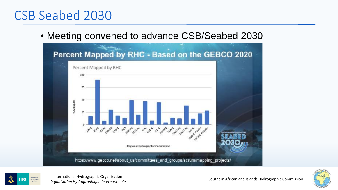#### CSB Seabed 2030

• Meeting convened to advance CSB/Seabed 2030





International Hydrographic Organization<br>*Organisation Hydrographique Internationale* extined and Southern African and Islands Hydrographic Commission

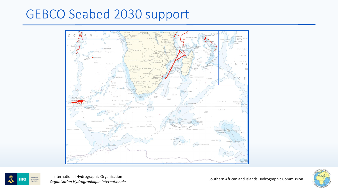### GEBCO Seabed 2030 support





International Hydrographic Organization<br>*Organisation Hydrographique Internationale* extined and Southern African and Islands Hydrographic Commission

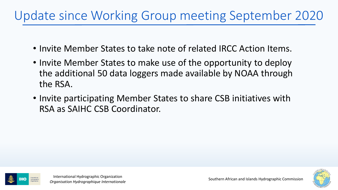## Update since Working Group meeting September 2020

- Invite Member States to take note of related IRCC Action Items.
- Invite Member States to make use of the opportunity to deploy the additional 50 data loggers made available by NOAA through the RSA.
- Invite participating Member States to share CSB initiatives with RSA as SAIHC CSB Coordinator.





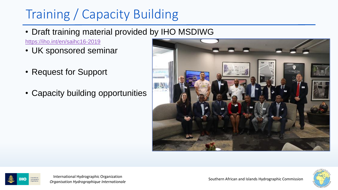# Training / Capacity Building

• Draft training material provided by IHO MSDIWG

<https://iho.int/en/saihc16-2019>

- UK sponsored seminar
- Request for Support
- Capacity building opportunities





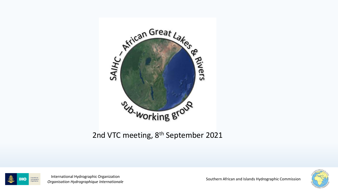

#### 2nd VTC meeting, 8<sup>th</sup> September 2021



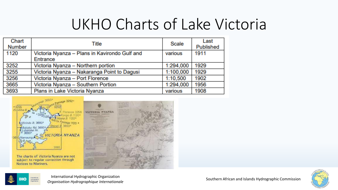# UKHO Charts of Lake Victoria

| Chart<br><b>Number</b> | <b>Title</b>                                  | <b>Scale</b> | Last<br>Published |
|------------------------|-----------------------------------------------|--------------|-------------------|
| 1120                   | Victoria Nyanza - Plans in Kavirondo Gulf and | various      | 1911              |
|                        | Entrance                                      |              |                   |
| 3252                   | Victoria Nyanza - Northern portion            | 1:294,000    | 1929              |
| 3255                   | Victoria Nyanza - Nakaranga Point to Dagusi   | 1:100,000    | 1929              |
| 3256                   | Victoria Nyanza - Port Florence               | 1:10.500     | 1902              |
| 3665                   | Victoria Nyanza - Southern Portion            | 1:294,000    | 1956              |
| 3693                   | Plans in Lake Victoria Nyanza                 | various      | 1908              |







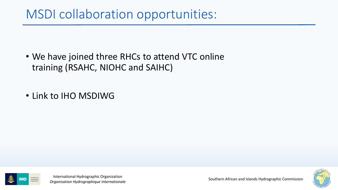## MSDI collaboration opportunities:

- We have joined three RHCs to attend VTC online training (RSAHC, NIOHC and SAIHC)
- Link to IHO MSDIWG



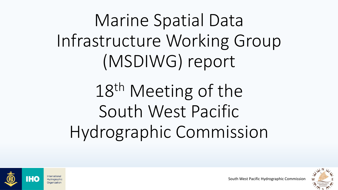Marine Spatial Data Infrastructure Working Group (MSDIWG) report

18<sup>th</sup> Meeting of the South West Pacific Hydrographic Commission



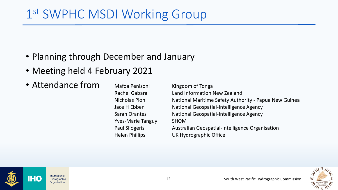## 1st SWPHC MSDI Working Group

- Planning through December and January
- Meeting held 4 February 2021
- Attendance from

Mafoa Penisoni Kingdom of Tonga Yves-Marie Tanguy SHOM

Rachel Gabara Land Information New Zealand Nicholas Pion National Maritime Safety Authority - Papua New Guinea Jace H Ebben National Geospatial-Intelligence Agency Sarah Orantes National Geospatial-Intelligence Agency Paul Sliogeris Australian Geospatial-Intelligence Organisation Helen Phillips UK Hydrographic Office

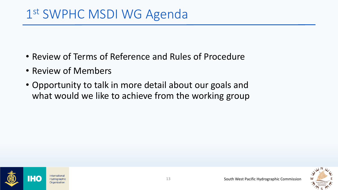- Review of Terms of Reference and Rules of Procedure
- Review of Members
- Opportunity to talk in more detail about our goals and what would we like to achieve from the working group



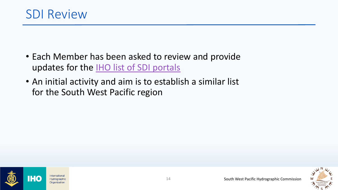- Each Member has been asked to review and provide updates for the [IHO list of SDI portals](https://iho.int/uploads/user/Inter-Regional%20Coordination/MSDIWG/MISC/SDI-portals.pdf)
- An initial activity and aim is to establish a similar list for the South West Pacific region



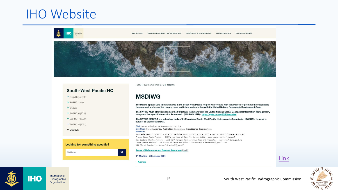#### IHO Website



**ABOUT IHO** INTER-REGIONAL COORDINATION **SERVICES & STANDARDS PUBLICATIONS EVENTS & NEWS** 



#### **South-West Pacific HC**

 $\rightarrow$  Basic Documents  $\rightarrow$  SWPHC Letters  $\rightarrow$  ICCWG  $\rightarrow$  SWPHC16 (2019)  $\rightarrow$  SWPHC17 (2020) subject to SWPHC approval.  $\rightarrow$  SWPHC18 (2021) Chair: Helen Phillips, UK Hydrographic Office  $\rightarrow$  MSDIWG **Members:** Looking for something specific? USA (Sarah Orantes) - Sarah.E.Orantes(\*)nga.mil  $\mathbf{q}$ Start typing 1st Meeting - 3 February 2021 · Agenda

HOME > SOUTH-WEST PACIFIC HC > MSDIWG

#### **MSDIWG**

The Marine Spatial Data Infrastructures in the South West Pacific Region was created with the propose to promote the sustainable development and use of the oceans, seas and inland waters in line with the United Nations Sustainable Development Goals.

The SWPHC MSDI effort is based on the 9 Strategic Pathways from the United Nations Global Geospatial Information Management, Integrated Geospatial Information Framework. (UN-GGIM IGIF) - https://ggim.un.org/IGIF/overview

The SWPHC MSDIWG is a subsidiary body of IHO's regional South West Pacific Hydrographic Commission (SWPHC). Its work is

Vice Chair: Paul Sliogeris, Australian Geospatial-Intelligence Organisation Australia (Paul Sliogeris - Director Maritime Data Infrastructure, AHO) - paul.sliogeris(\*)defence.gov.au

France (Yves-Marie Tanguy - SHOM's new Head of Pacific Survey Unit) - yves-marie.tanguy(\*)shom.fr New Zealand (Rachel Gabara - LINZ NZHA Manager Hydrographic Data and Products) - rgabara(\*)linz.govt.nz Tonga (Mafoa Peninoni - Ministry of Lands and Natural Resources) - Penisonim(\*)gmail.com

#### **Terms of References and Rules of Procedure (draft)**





International Hydrographic Organization

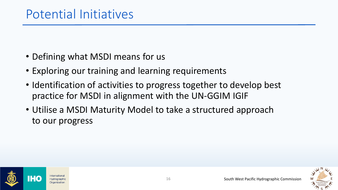- Defining what MSDI means for us
- Exploring our training and learning requirements
- Identification of activities to progress together to develop best practice for MSDI in alignment with the UN-GGIM IGIF
- Utilise a MSDI Maturity Model to take a structured approach to our progress



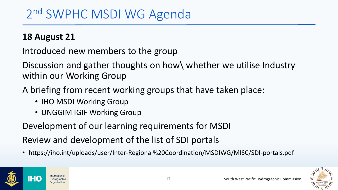#### **18 August 21**

Introduced new members to the group

Discussion and gather thoughts on how\ whether we utilise Industry within our Working Group

- A briefing from recent working groups that have taken place:
	- **IHO MSDI Working Group**
	- UNGGIM IGIF Working Group

Development of our learning requirements for MSDI

Review and development of the list of SDI portals

• https://iho.int/uploads/user/Inter-Regional%20Coordination/MSDIWG/MISC/SDI-portals.pdf



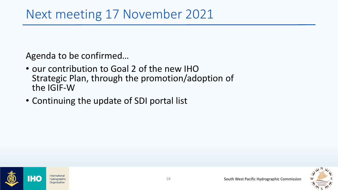Agenda to be confirmed…

- our contribution to Goal 2 of the new IHO Strategic Plan, through the promotion/adoption of the IGIF-W
- Continuing the update of SDI portal list